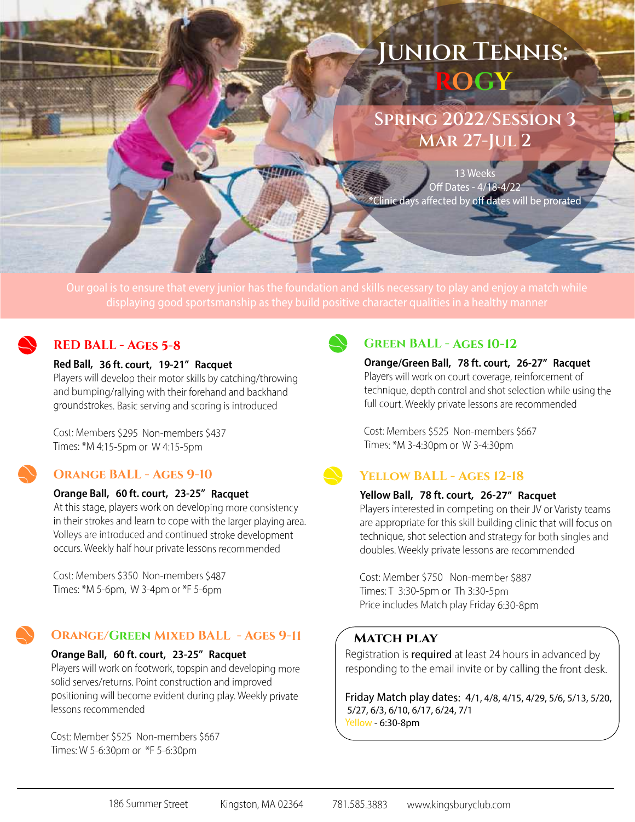# **Junior Tennis: ROGY**

**Spring 2022/Session 3 Mar 27-Jul 2** 

13 Week Off Dates - 4/18-4/22 <sup>e</sup>Clinic days affected by off dates will be prorated

## **RED BALL - Ages 5-8**

#### Red Ball, 36 ft. court, 19-21" Racquet

Players will develop their motor skills by catching/throwing and bumping/rallying with their forehand and backhand groundstrokes. Basic serving and scoring is introduced

Cost: Members \$295 Non-members \$437 Times: \*M 4:15-5pm or W 4:15-5pm

## **Orange BALL - Ages 9-10**

#### Orange Ball,60 ft. court,23-25" Racquet

At this stage, players work on developing more consistency in their strokes and learn to cope with the larger playing area. Volleys are introduced and continued stroke development occurs. Weekly half hour private lessons recommended

Cost: Members \$350 Non-members \$487 Times: \*M 5-6pm, W 3-4pm or \*F 5-6pm

## **Orange/Green Mixed BALL - Ages 9-11**

#### Orange Ball, 60 ft. court, 23-25" Racquet

Players will work on footwork, topspin and developing more solid serves/returns. Point construction and improved positioning will become evident during play. Weekly private lessons recommended

Cost: Member \$525 Non-members \$667 Times: W 5-6:30pm or \*F 5-6:30pm



#### **Green BALL - Ages 10-12**

Orange/Green Ball, 78 ft. court, 26-27″ Racquet Players will work on court coverage, reinforcement of technique, depth control and shot selection while using the full court. Weekly private lessons are recommended

Cost: Members \$525 Non-members \$667 Times: \*M 3-4:30pm or W 3-4:30pm

## **Yellow BALL - Ages 12-18**

#### Yellow Ball, 78 ft. court, 26-27" Racquet

Players interested in competing on their JV or Varisty teams are appropriate for this skill building clinic that will focus on technique, shot selection and strategy for both singles and doubles. Weekly private lessons are recommended

Cost: Member \$750 Non-member \$887 Times: T 3:30-5pm or Th 3:30-5pm Price includes Match play Friday 6:30-8pm

#### **Match play**

Registration is **required** at least 24 hours in advanced by responding to the email invite or by calling the front desk.

Friday Match play dates: 4/1, 4/8, 4/15, 4/29, 5/6, 5/13, 5/20, 5/27, 6/3, 6/10, 6/17, 6/24, 7/1 Yellow - 6:30-8pm